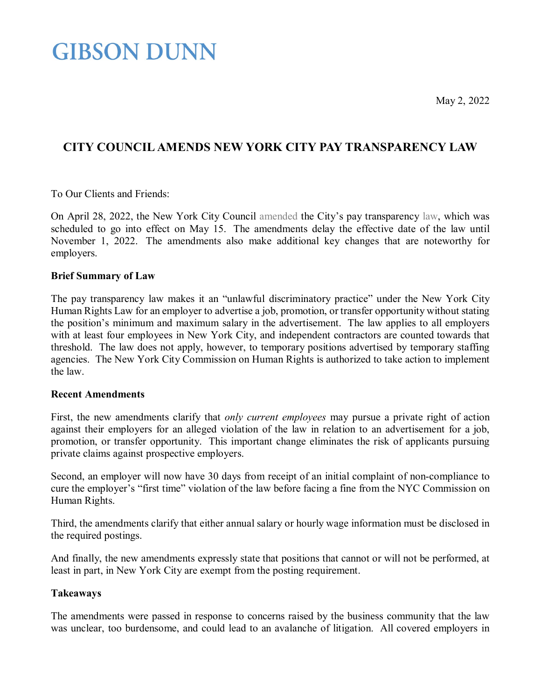May 2, 2022

## **GIBSON DUNN**

### **CITY COUNCIL AMENDS NEW YORK CITY PAY TRANSPARENCY LAW**

To Our Clients and Friends:

On April 28, 2022, the New York City Council [amended t](https://legistar.council.nyc.gov/LegislationDetail.aspx?ID=5528005&GUID=4544EE38-4659-44F6-9092-19D965A680AE&Options=ID%7cText%7c&Search=134)he City's pay transparency [law,](https://www.gibsondunn.com/new-york-city-enacts-pay-transparency-law-requiring-salary-ranges-in-job-postings/) which was scheduled to go into effect on May 15. The amendments delay the effective date of the law until November 1, 2022. The amendments also make additional key changes that are noteworthy for employers.

#### **Brief Summary of Law**

The pay transparency law makes it an "unlawful discriminatory practice" under the New York City Human Rights Law for an employer to advertise a job, promotion, or transfer opportunity without stating the position's minimum and maximum salary in the advertisement. The law applies to all employers with at least four employees in New York City, and independent contractors are counted towards that threshold. The law does not apply, however, to temporary positions advertised by temporary staffing agencies. The New York City Commission on Human Rights is authorized to take action to implement the law.

#### **Recent Amendments**

First, the new amendments clarify that *only current employees* may pursue a private right of action against their employers for an alleged violation of the law in relation to an advertisement for a job, promotion, or transfer opportunity. This important change eliminates the risk of applicants pursuing private claims against prospective employers.

Second, an employer will now have 30 days from receipt of an initial complaint of non-compliance to cure the employer's "first time" violation of the law before facing a fine from the NYC Commission on Human Rights.

Third, the amendments clarify that either annual salary or hourly wage information must be disclosed in the required postings.

And finally, the new amendments expressly state that positions that cannot or will not be performed, at least in part, in New York City are exempt from the posting requirement.

#### **Takeaways**

The amendments were passed in response to concerns raised by the business community that the law was unclear, too burdensome, and could lead to an avalanche of litigation. All covered employers in